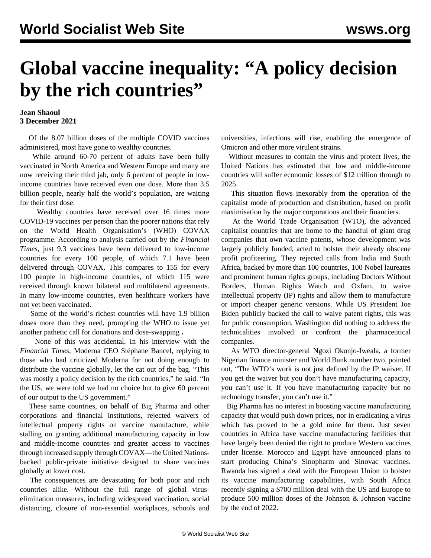## **Global vaccine inequality: "A policy decision by the rich countries"**

## **Jean Shaoul 3 December 2021**

 Of the 8.07 billion doses of the multiple COVID vaccines administered, most have gone to wealthy countries.

 While around 60-70 percent of adults have been fully vaccinated in North America and Western Europe and many are now receiving their third jab, only 6 percent of people in lowincome countries have received even one dose. More than 3.5 billion people, nearly half the world's population, are waiting for their first dose.

 Wealthy countries have received over 16 times more COVID-19 vaccines per person than the poorer nations that rely on the World Health Organisation's (WHO) COVAX programme. According to analysis carried out by the *Financial Times*, just 9.3 vaccines have been delivered to low-income countries for every 100 people, of which 7.1 have been delivered through COVAX. This compares to 155 for every 100 people in high-income countries, of which 115 were received through known bilateral and multilateral agreements. In many low-income countries, even healthcare workers have not yet been vaccinated.

 Some of the world's richest countries will have 1.9 billion doses more than they need, prompting the WHO to issue yet another pathetic call for donations and dose-swapping **.**

 None of this was accidental. In his interview with the *Financial Times*, Moderna CEO Stéphane Bancel, replying to those who had criticized Moderna for not doing enough to distribute the vaccine globally, let the cat out of the bag. "This was mostly a policy decision by the rich countries," he said. "In the US, we were told we had no choice but to give 60 percent of our output to the US government."

 These same countries, on behalf of Big Pharma and other corporations and financial institutions, rejected waivers of intellectual property rights on vaccine manufacture, while stalling on granting additional manufacturing capacity in low and middle-income countries and greater access to vaccines through increased supply through COVAX—the United Nationsbacked public-private initiative designed to share vaccines globally at lower cost.

 The consequences are devastating for both poor and rich countries alike. Without the full range of global viruselimination measures, including widespread vaccination, social distancing, closure of non-essential workplaces, schools and universities, infections will rise, enabling the emergence of Omicron and other more virulent strains.

 Without measures to contain the virus and protect lives, the United Nations has estimated that low and middle-income countries will suffer economic losses of \$12 trillion through to 2025.

 This situation flows inexorably from the operation of the capitalist mode of production and distribution, based on profit maximisation by the major corporations and their financiers.

 At the World Trade Organisation (WTO), the advanced capitalist countries that are home to the handful of giant drug companies that own vaccine patents, whose development was largely publicly funded, acted to bolster their already obscene profit profiteering. They rejected calls from India and South Africa, backed by more than 100 countries, 100 Nobel laureates and prominent human rights groups, including Doctors Without Borders, Human Rights Watch and Oxfam, to waive intellectual property (IP) rights and allow them to manufacture or import cheaper generic versions. While US President Joe Biden publicly backed the call to waive patent rights, this was for public consumption. Washington did nothing to address the technicalities involved or confront the pharmaceutical companies.

 As WTO director-general Ngozi Okonjo-Iweala, a former Nigerian finance minister and World Bank number two, pointed out, "The WTO's work is not just defined by the IP waiver. If you get the waiver but you don't have manufacturing capacity, you can't use it. If you have manufacturing capacity but no technology transfer, you can't use it."

 Big Pharma has no interest in boosting vaccine manufacturing capacity that would push down prices, nor in eradicating a virus which has proved to be a gold mine for them. Just seven countries in Africa have vaccine manufacturing facilities that have largely been denied the right to produce Western vaccines under license. Morocco and Egypt have announced plans to start producing China's Sinopharm and Sinovac vaccines. Rwanda has signed a deal with the European Union to bolster its vaccine manufacturing capabilities, with South Africa recently signing a \$700 million deal with the US and Europe to produce 500 million doses of the Johnson & Johnson vaccine by the end of 2022.